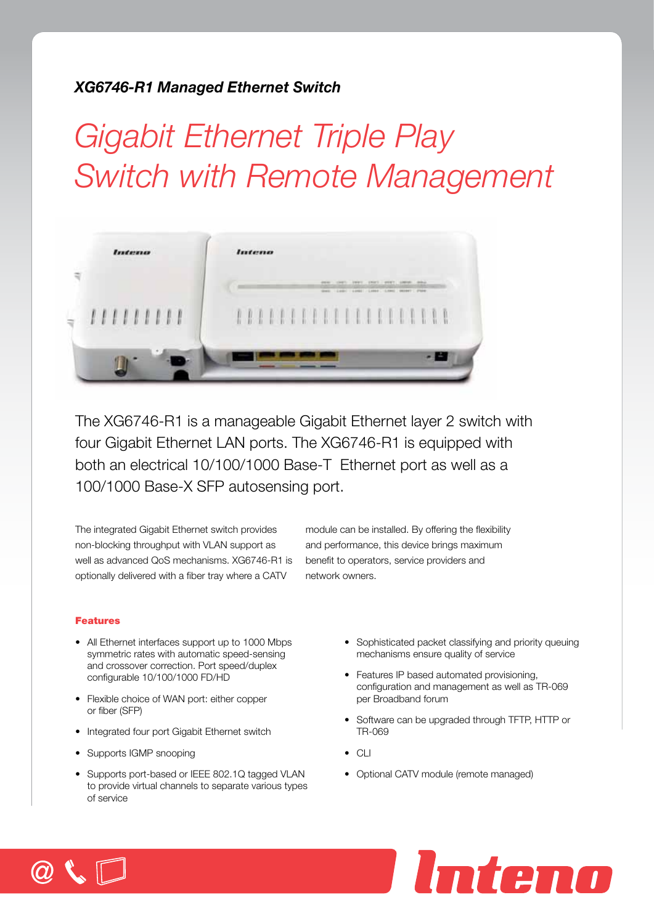# *XG6746-R1 Managed Ethernet Switch*

# *Gigabit Ethernet Triple Play Switch with Remote Management*



The XG6746-R1 is a manageable Gigabit Ethernet layer 2 switch with four Gigabit Ethernet LAN ports. The XG6746-R1 is equipped with both an electrical 10/100/1000 Base-T Ethernet port as well as a 100/1000 Base-X SFP autosensing port.

The integrated Gigabit Ethernet switch provides non-blocking throughput with VLAN support as well as advanced QoS mechanisms. XG6746-R1 is optionally delivered with a fiber tray where a CATV

module can be installed. By offering the flexibility and performance, this device brings maximum benefit to operators, service providers and network owners.

# Features

- All Ethernet interfaces support up to 1000 Mbps symmetric rates with automatic speed-sensing and crossover correction. Port speed/duplex configurable 10/100/1000 FD/HD
- • Flexible choice of WAN port: either copper or fiber (SFP)
- Integrated four port Gigabit Ethernet switch
- Supports IGMP snooping
- Supports port-based or IEEE 802.1Q tagged VLAN to provide virtual channels to separate various types of service
- Sophisticated packet classifying and priority queuing mechanisms ensure quality of service
- Features IP based automated provisioning, configuration and management as well as TR-069 per Broadband forum
- Software can be upgraded through TFTP, HTTP or TR-069
- $\bullet$  CLI
- • Optional CATV module (remote managed)



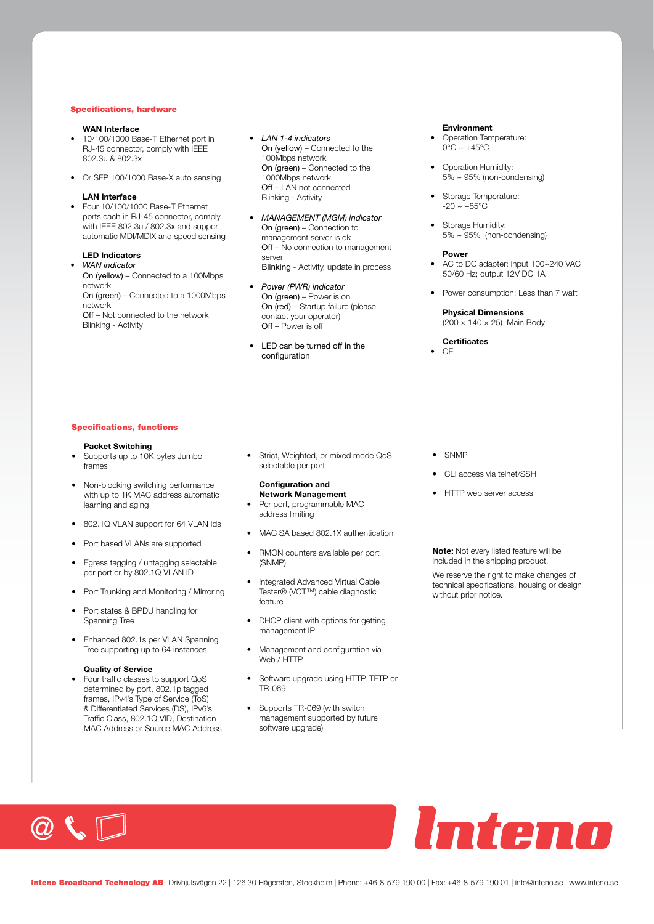#### Specifications, hardware

## WAN Interface

- 10/100/1000 Base-T Ethernet port in RJ-45 connector, comply with IEEE 802.3u & 802.3x
- Or SFP 100/1000 Base-X auto sensing

# LAN Interface

Four 10/100/1000 Base-T Ethernet ports each in RJ-45 connector, comply with IEEE 802.3u / 802.3x and support automatic MDI/MDIX and speed sensing

# LED Indicators

**WAN** indicator On (yellow) – Connected to a 100Mbps network On (green) – Connected to a 1000Mbps network Off – Not connected to the network

 Blinking - Activity

- LAN 1-4 indicators On (yellow) – Connected to the 100Mbps network On (green) – Connected to the 1000Mbps network Off – LAN not connected Blinking - Activity
- MANAGEMENT (MGM) indicator On (green) – Connection to management server is ok Off – No connection to management server Blinking - Activity, update in process
- • Power (PWR) indicator On (green) – Power is on On (red) – Startup failure (please contact your operator) Off – Power is off
- • LED can be turned off in the configuration

#### Environment

- • Operation Temperature:  $0^{\circ}$ C ~ +45 $^{\circ}$ C
- Operation Humidity: 5% ~ 95% (non-condensing)
- Storage Temperature:  $-20 - +85$ °C
- Storage Humidity: 5% ~ 95% (non-condensing)

#### Power

- AC to DC adapter: input 100~240 VAC 50/60 Hz; output 12V DC 1A
- Power consumption: Less than 7 watt

# Physical Dimensions  $(200 \times 140 \times 25)$  Main Body

# **Certificates**

 $C_{\text{F}}$ 

# Specifications, functions

#### Packet Switching

- Supports up to 10K bytes Jumbo frames
- Non-blocking switching performance with up to 1K MAC address automatic learning and aging
- • 802.1Q VLAN support for 64 VLAN Ids
- Port based VLANs are supported
- • Egress tagging / untagging selectable per port or by 802.1Q VLAN ID
- Port Trunking and Monitoring / Mirroring
- Port states & BPDU handling for Spanning Tree
- Enhanced 802.1s per VLAN Spanning Tree supporting up to 64 instances

#### Quality of Service

Four traffic classes to support QoS determined by port, 802.1p tagged frames, IPv4's Type of Service (ToS) & Differentiated Services (DS), IPv6's Traffic Class, 802.1Q VID, Destination MAC Address or Source MAC Address • Strict, Weighted, or mixed mode QoS selectable per port

### Configuration and Network Management

- Per port, programmable MAC address limiting
- MAC SA based 802.1X authentication
- RMON counters available per port (SNMP)
- • Integrated Advanced Virtual Cable Tester® (VCT™) cable diagnostic feature
- • DHCP client with options for getting management IP
- Management and configuration via Web / HTTP
- • Software upgrade using HTTP, TFTP or TR-069
- Supports TR-069 (with switch management supported by future software upgrade)
- • SNMP
- • CLI access via telnet/SSH
- HTTP web server access

Note: Not every listed feature will be included in the shipping product.

We reserve the right to make changes of technical specifications, housing or design without prior notice.